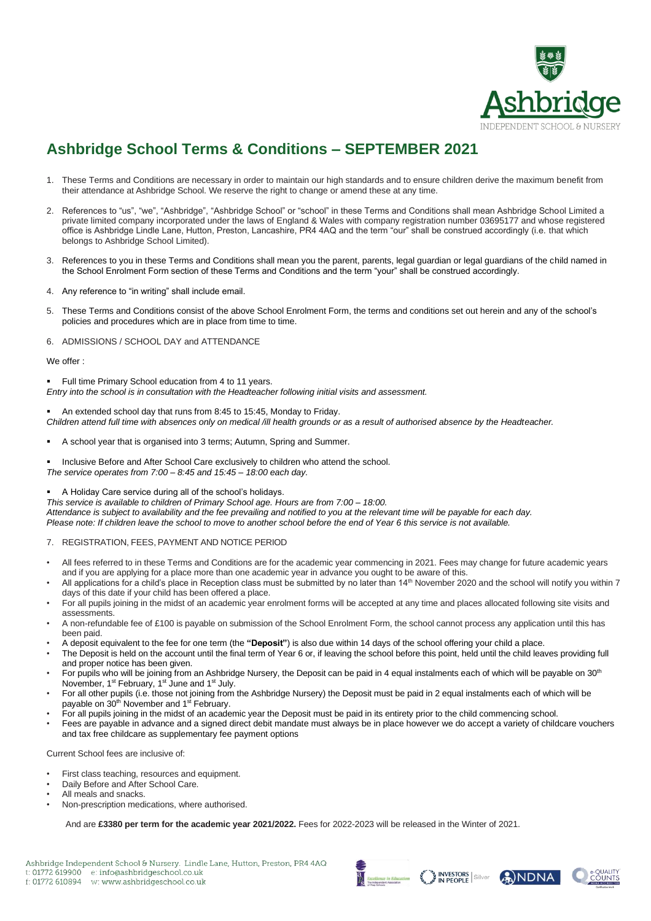

# **Ashbridge School Terms & Conditions – SEPTEMBER 2021**

- These Terms and Conditions are necessary in order to maintain our high standards and to ensure children derive the maximum benefit from their attendance at Ashbridge School. We reserve the right to change or amend these at any time.
- 2. References to "us", "we", "Ashbridge", "Ashbridge School" or "school" in these Terms and Conditions shall mean Ashbridge School Limited a private limited company incorporated under the laws of England & Wales with company registration number 03695177 and whose registered office is Ashbridge Lindle Lane, Hutton, Preston, Lancashire, PR4 4AQ and the term "our" shall be construed accordingly (i.e. that which belongs to Ashbridge School Limited).
- 3. References to you in these Terms and Conditions shall mean you the parent, parents, legal guardian or legal guardians of the child named in the School Enrolment Form section of these Terms and Conditions and the term "your" shall be construed accordingly.
- 4. Any reference to "in writing" shall include email.
- 5. These Terms and Conditions consist of the above School Enrolment Form, the terms and conditions set out herein and any of the school's policies and procedures which are in place from time to time.
- 6. ADMISSIONS / SCHOOL DAY and ATTENDANCE

We offer :

Full time Primary School education from 4 to 11 years.

*Entry into the school is in consultation with the Headteacher following initial visits and assessment.*

An extended school day that runs from 8:45 to 15:45, Monday to Friday.

*Children attend full time with absences only on medical /ill health grounds or as a result of authorised absence by the Headteacher.*

A school year that is organised into 3 terms; Autumn, Spring and Summer.

Inclusive Before and After School Care exclusively to children who attend the school. *The service operates from 7:00 – 8:45 and 15:45 – 18:00 each day.*

A Holiday Care service during all of the school's holidays.

*This service is available to children of Primary School age. Hours are from 7:00 – 18:00. Attendance is subject to availability and the fee prevailing and notified to you at the relevant time will be payable for each day. Please note: If children leave the school to move to another school before the end of Year 6 this service is not available.*

- 7. REGISTRATION, FEES, PAYMENT AND NOTICE PERIOD
- All fees referred to in these Terms and Conditions are for the academic year commencing in 2021. Fees may change for future academic years and if you are applying for a place more than one academic year in advance you ought to be aware of this.
- All applications for a child's place in Reception class must be submitted by no later than 14<sup>th</sup> November 2020 and the school will notify you within 7 days of this date if your child has been offered a place.
- For all pupils joining in the midst of an academic year enrolment forms will be accepted at any time and places allocated following site visits and assessments.
- A non-refundable fee of £100 is payable on submission of the School Enrolment Form, the school cannot process any application until this has been paid.
- A deposit equivalent to the fee for one term (the **"Deposit"**) is also due within 14 days of the school offering your child a place.
- The Deposit is held on the account until the final term of Year 6 or, if leaving the school before this point, held until the child leaves providing full and proper notice has been given.
- For pupils who will be joining from an Ashbridge Nursery, the Deposit can be paid in 4 equal instalments each of which will be payable on 30<sup>th</sup> November, 1<sup>st</sup> February, 1<sup>st</sup> June and 1<sup>st</sup> July.
- For all other pupils (i.e. those not joining from the Ashbridge Nursery) the Deposit must be paid in 2 equal instalments each of which will be payable on 30<sup>th</sup> November and 1<sup>st</sup> February.
- For all pupils joining in the midst of an academic year the Deposit must be paid in its entirety prior to the child commencing school.
- Fees are payable in advance and a signed direct debit mandate must always be in place however we do accept a variety of childcare vouchers and tax free childcare as supplementary fee payment options

Current School fees are inclusive of:

- First class teaching, resources and equipment.
- Daily Before and After School Care.
- All meals and snacks.
- Non-prescription medications, where authorised.

And are **£3380 per term for the academic year 2021/2022.** Fees for 2022-2023 will be released in the Winter of 2021.

Ashbridge Independent School & Nursery. Lindle Lane, Hutton, Preston, PR4 4AQ

t: 01772 619900 e: info@ashbridgeschool.co.uk

```
f: 01772 610894 w: www.ashbridgeschool.co.uk
```




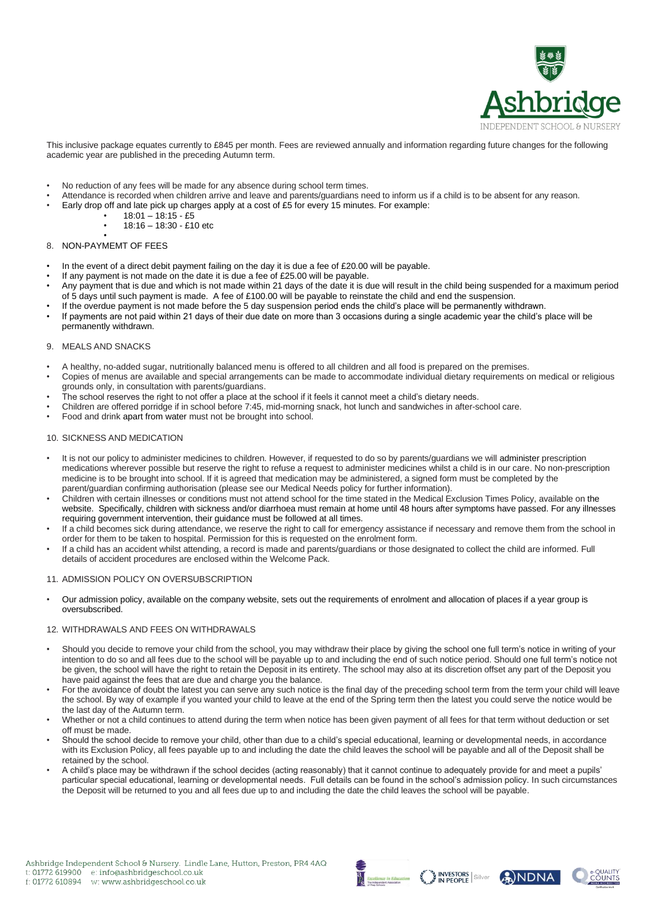

This inclusive package equates currently to £845 per month. Fees are reviewed annually and information regarding future changes for the following academic year are published in the preceding Autumn term.

- No reduction of any fees will be made for any absence during school term times.
- Attendance is recorded when children arrive and leave and parents/guardians need to inform us if a child is to be absent for any reason.
- Early drop off and late pick up charges apply at a cost of £5 for every 15 minutes. For example:
	- 18:01 18:15 £5
	- 18:16 18:30 £10 etc

#### • 8. NON-PAYMEMT OF FEES

- In the event of a direct debit payment failing on the day it is due a fee of £20.00 will be payable.
- If any payment is not made on the date it is due a fee of £25.00 will be payable.
- Any payment that is due and which is not made within 21 days of the date it is due will result in the child being suspended for a maximum period of 5 days until such payment is made. A fee of £100.00 will be payable to reinstate the child and end the suspension.
- If the overdue payment is not made before the 5 day suspension period ends the child's place will be permanently withdrawn.
- If payments are not paid within 21 days of their due date on more than 3 occasions during a single academic year the child's place will be permanently withdrawn.

#### 9. MEALS AND SNACKS

- A healthy, no-added sugar, nutritionally balanced menu is offered to all children and all food is prepared on the premises.
- Copies of menus are available and special arrangements can be made to accommodate individual dietary requirements on medical or religious grounds only, in consultation with parents/guardians.
- The school reserves the right to not offer a place at the school if it feels it cannot meet a child's dietary needs.
- Children are offered porridge if in school before 7:45, mid-morning snack, hot lunch and sandwiches in after-school care.
- Food and drink apart from water must not be brought into school.

## 10. SICKNESS AND MEDICATION

- It is not our policy to administer medicines to children. However, if requested to do so by parents/guardians we will administer prescription medications wherever possible but reserve the right to refuse a request to administer medicines whilst a child is in our care. No non-prescription medicine is to be brought into school. If it is agreed that medication may be administered, a signed form must be completed by the parent/guardian confirming authorisation (please see our Medical Needs policy for further information).
- Children with certain illnesses or conditions must not attend school for the time stated in the Medical Exclusion Times Policy, available on the website. Specifically, children with sickness and/or diarrhoea must remain at home until 48 hours after symptoms have passed. For any illnesses requiring government intervention, their guidance must be followed at all times.
- If a child becomes sick during attendance, we reserve the right to call for emergency assistance if necessary and remove them from the school in order for them to be taken to hospital. Permission for this is requested on the enrolment form.
- If a child has an accident whilst attending, a record is made and parents/guardians or those designated to collect the child are informed. Full details of accident procedures are enclosed within the Welcome Pack.

#### 11. ADMISSION POLICY ON OVERSUBSCRIPTION

• Our admission policy, available on the company website, sets out the requirements of enrolment and allocation of places if a year group is oversubscribed.

## 12. WITHDRAWALS AND FEES ON WITHDRAWALS

- Should you decide to remove your child from the school, you may withdraw their place by giving the school one full term's notice in writing of your intention to do so and all fees due to the school will be payable up to and including the end of such notice period. Should one full term's notice not be given, the school will have the right to retain the Deposit in its entirety. The school may also at its discretion offset any part of the Deposit you have paid against the fees that are due and charge you the balance.
- For the avoidance of doubt the latest you can serve any such notice is the final day of the preceding school term from the term your child will leave the school. By way of example if you wanted your child to leave at the end of the Spring term then the latest you could serve the notice would be the last day of the Autumn term.
- Whether or not a child continues to attend during the term when notice has been given payment of all fees for that term without deduction or set off must be made.
- Should the school decide to remove your child, other than due to a child's special educational, learning or developmental needs, in accordance with its Exclusion Policy, all fees payable up to and including the date the child leaves the school will be payable and all of the Deposit shall be retained by the school.
- A child's place may be withdrawn if the school decides (acting reasonably) that it cannot continue to adequately provide for and meet a pupils' particular special educational, learning or developmental needs. Full details can be found in the school's admission policy. In such circumstances the Deposit will be returned to you and all fees due up to and including the date the child leaves the school will be payable.



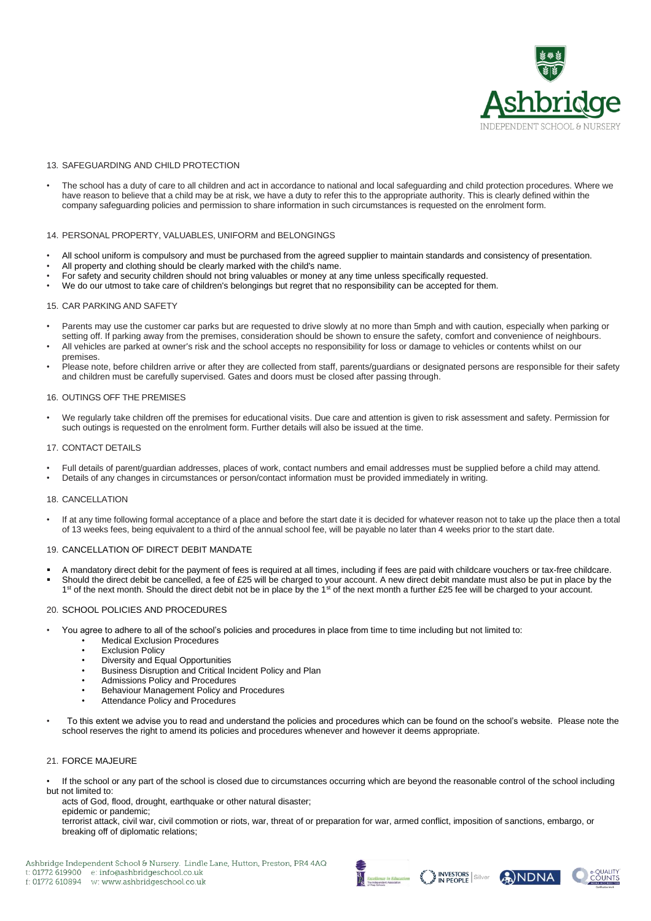

## 13. SAFEGUARDING AND CHILD PROTECTION

• The school has a duty of care to all children and act in accordance to national and local safeguarding and child protection procedures. Where we have reason to believe that a child may be at risk, we have a duty to refer this to the appropriate authority. This is clearly defined within the company safeguarding policies and permission to share information in such circumstances is requested on the enrolment form.

## 14. PERSONAL PROPERTY, VALUABLES, UNIFORM and BELONGINGS

- All school uniform is compulsory and must be purchased from the agreed supplier to maintain standards and consistency of presentation.
- All property and clothing should be clearly marked with the child's name.
- For safety and security children should not bring valuables or money at any time unless specifically requested.
- We do our utmost to take care of children's belongings but regret that no responsibility can be accepted for them.

#### 15. CAR PARKING AND SAFETY

- Parents may use the customer car parks but are requested to drive slowly at no more than 5mph and with caution, especially when parking or setting off. If parking away from the premises, consideration should be shown to ensure the safety, comfort and convenience of neighbours.
- All vehicles are parked at owner's risk and the school accepts no responsibility for loss or damage to vehicles or contents whilst on our premises.
- Please note, before children arrive or after they are collected from staff, parents/guardians or designated persons are responsible for their safety and children must be carefully supervised. Gates and doors must be closed after passing through.

## 16. OUTINGS OFF THE PREMISES

• We regularly take children off the premises for educational visits. Due care and attention is given to risk assessment and safety. Permission for such outings is requested on the enrolment form. Further details will also be issued at the time.

#### 17. CONTACT DETAILS

• Full details of parent/guardian addresses, places of work, contact numbers and email addresses must be supplied before a child may attend. • Details of any changes in circumstances or person/contact information must be provided immediately in writing.

## 18. CANCELLATION

If at any time following formal acceptance of a place and before the start date it is decided for whatever reason not to take up the place then a total of 13 weeks fees, being equivalent to a third of the annual school fee, will be payable no later than 4 weeks prior to the start date.

#### 19. CANCELLATION OF DIRECT DEBIT MANDATE

A mandatory direct debit for the payment of fees is required at all times, including if fees are paid with childcare vouchers or tax-free childcare. Should the direct debit be cancelled, a fee of £25 will be charged to your account. A new direct debit mandate must also be put in place by the 1<sup>st</sup> of the next month. Should the direct debit not be in place by the 1<sup>st</sup> of the next month a further £25 fee will be charged to your account.

#### 20. SCHOOL POLICIES AND PROCEDURES

- You agree to adhere to all of the school's policies and procedures in place from time to time including but not limited to:
	- Medical Exclusion Procedures
	- **Exclusion Policy**
	- Diversity and Equal Opportunities
	- Business Disruption and Critical Incident Policy and Plan
	- Admissions Policy and Procedures
	- Behaviour Management Policy and Procedures
	- Attendance Policy and Procedures
- To this extent we advise you to read and understand the policies and procedures which can be found on the school's website. Please note the school reserves the right to amend its policies and procedures whenever and however it deems appropriate.

## 21. FORCE MAJEURE

• If the school or any part of the school is closed due to circumstances occurring which are beyond the reasonable control of the school including but not limited to:

acts of God, flood, drought, earthquake or other natural disaster;

epidemic or pandemic;

terrorist attack, civil war, civil commotion or riots, war, threat of or preparation for war, armed conflict, imposition of sanctions, embargo, or breaking off of diplomatic relations;

- Ashbridge Independent School & Nursery. Lindle Lane, Hutton, Preston, PR4 4AQ
- t: 01772 619900 e: info@ashbridgeschool.co.uk
- f: 01772 610894 w: www.ashbridgeschool.co.uk